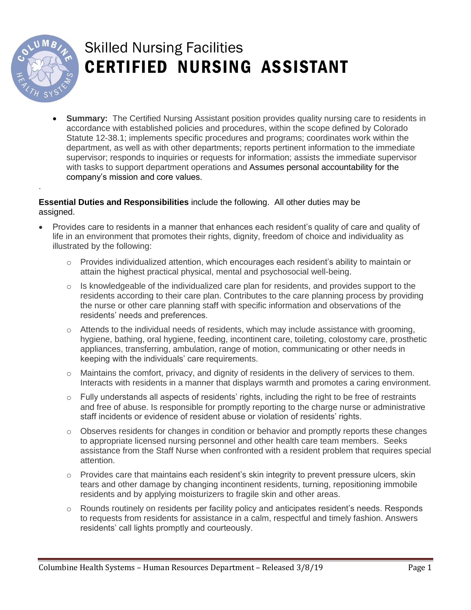

.

## Skilled Nursing Facilities CERTIFIED NURSING ASSISTANT

 **Summary:** The Certified Nursing Assistant position provides quality nursing care to residents in accordance with established policies and procedures, within the scope defined by Colorado Statute 12-38.1; implements specific procedures and programs; coordinates work within the department, as well as with other departments; reports pertinent information to the immediate supervisor; responds to inquiries or requests for information; assists the immediate supervisor with tasks to support department operations and Assumes personal accountability for the company's mission and core values.

## **Essential Duties and Responsibilities** include the following. All other duties may be assigned.

- Provides care to residents in a manner that enhances each resident's quality of care and quality of life in an environment that promotes their rights, dignity, freedom of choice and individuality as illustrated by the following:
	- $\circ$  Provides individualized attention, which encourages each resident's ability to maintain or attain the highest practical physical, mental and psychosocial well-being.
	- $\circ$  Is knowledgeable of the individualized care plan for residents, and provides support to the residents according to their care plan. Contributes to the care planning process by providing the nurse or other care planning staff with specific information and observations of the residents' needs and preferences.
	- $\circ$  Attends to the individual needs of residents, which may include assistance with grooming, hygiene, bathing, oral hygiene, feeding, incontinent care, toileting, colostomy care, prosthetic appliances, transferring, ambulation, range of motion, communicating or other needs in keeping with the individuals' care requirements.
	- $\circ$  Maintains the comfort, privacy, and dignity of residents in the delivery of services to them. Interacts with residents in a manner that displays warmth and promotes a caring environment.
	- o Fully understands all aspects of residents' rights, including the right to be free of restraints and free of abuse. Is responsible for promptly reporting to the charge nurse or administrative staff incidents or evidence of resident abuse or violation of residents' rights.
	- $\circ$  Observes residents for changes in condition or behavior and promptly reports these changes to appropriate licensed nursing personnel and other health care team members. Seeks assistance from the Staff Nurse when confronted with a resident problem that requires special attention.
	- $\circ$  Provides care that maintains each resident's skin integrity to prevent pressure ulcers, skin tears and other damage by changing incontinent residents, turning, repositioning immobile residents and by applying moisturizers to fragile skin and other areas.
	- o Rounds routinely on residents per facility policy and anticipates resident's needs. Responds to requests from residents for assistance in a calm, respectful and timely fashion. Answers residents' call lights promptly and courteously.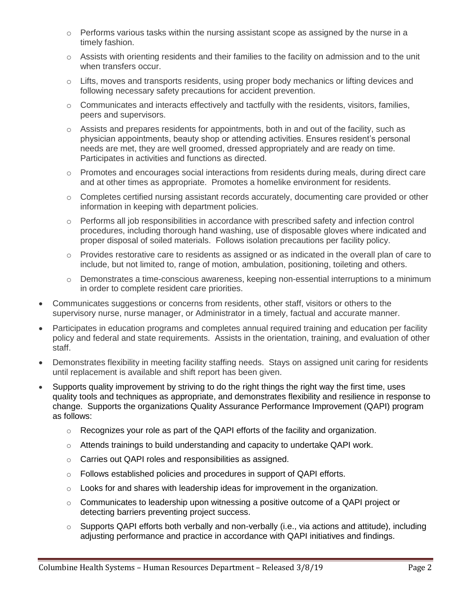- $\circ$  Performs various tasks within the nursing assistant scope as assigned by the nurse in a timely fashion.
- $\circ$  Assists with orienting residents and their families to the facility on admission and to the unit when transfers occur.
- $\circ$  Lifts, moves and transports residents, using proper body mechanics or lifting devices and following necessary safety precautions for accident prevention.
- $\circ$  Communicates and interacts effectively and tactfully with the residents, visitors, families, peers and supervisors.
- o Assists and prepares residents for appointments, both in and out of the facility, such as physician appointments, beauty shop or attending activities. Ensures resident's personal needs are met, they are well groomed, dressed appropriately and are ready on time. Participates in activities and functions as directed.
- $\circ$  Promotes and encourages social interactions from residents during meals, during direct care and at other times as appropriate. Promotes a homelike environment for residents.
- $\circ$  Completes certified nursing assistant records accurately, documenting care provided or other information in keeping with department policies.
- $\circ$  Performs all job responsibilities in accordance with prescribed safety and infection control procedures, including thorough hand washing, use of disposable gloves where indicated and proper disposal of soiled materials. Follows isolation precautions per facility policy.
- $\circ$  Provides restorative care to residents as assigned or as indicated in the overall plan of care to include, but not limited to, range of motion, ambulation, positioning, toileting and others.
- o Demonstrates a time-conscious awareness, keeping non-essential interruptions to a minimum in order to complete resident care priorities.
- Communicates suggestions or concerns from residents, other staff, visitors or others to the supervisory nurse, nurse manager, or Administrator in a timely, factual and accurate manner.
- Participates in education programs and completes annual required training and education per facility policy and federal and state requirements. Assists in the orientation, training, and evaluation of other staff.
- Demonstrates flexibility in meeting facility staffing needs. Stays on assigned unit caring for residents until replacement is available and shift report has been given.
- Supports quality improvement by striving to do the right things the right way the first time, uses quality tools and techniques as appropriate, and demonstrates flexibility and resilience in response to change. Supports the organizations Quality Assurance Performance Improvement (QAPI) program as follows:
	- $\circ$  Recognizes your role as part of the QAPI efforts of the facility and organization.
	- $\circ$  Attends trainings to build understanding and capacity to undertake QAPI work.
	- o Carries out QAPI roles and responsibilities as assigned.
	- o Follows established policies and procedures in support of QAPI efforts.
	- $\circ$  Looks for and shares with leadership ideas for improvement in the organization.
	- o Communicates to leadership upon witnessing a positive outcome of a QAPI project or detecting barriers preventing project success.
	- $\circ$  Supports QAPI efforts both verbally and non-verbally (i.e., via actions and attitude), including adjusting performance and practice in accordance with QAPI initiatives and findings.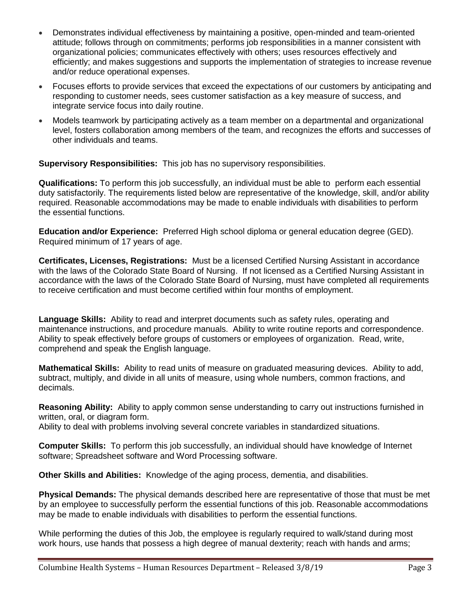- Demonstrates individual effectiveness by maintaining a positive, open-minded and team-oriented attitude; follows through on commitments; performs job responsibilities in a manner consistent with organizational policies; communicates effectively with others; uses resources effectively and efficiently; and makes suggestions and supports the implementation of strategies to increase revenue and/or reduce operational expenses.
- Focuses efforts to provide services that exceed the expectations of our customers by anticipating and responding to customer needs, sees customer satisfaction as a key measure of success, and integrate service focus into daily routine.
- Models teamwork by participating actively as a team member on a departmental and organizational level, fosters collaboration among members of the team, and recognizes the efforts and successes of other individuals and teams.

**Supervisory Responsibilities:** This job has no supervisory responsibilities.

**Qualifications:** To perform this job successfully, an individual must be able to perform each essential duty satisfactorily. The requirements listed below are representative of the knowledge, skill, and/or ability required. Reasonable accommodations may be made to enable individuals with disabilities to perform the essential functions.

**Education and/or Experience:** Preferred High school diploma or general education degree (GED). Required minimum of 17 years of age.

**Certificates, Licenses, Registrations:** Must be a licensed Certified Nursing Assistant in accordance with the laws of the Colorado State Board of Nursing. If not licensed as a Certified Nursing Assistant in accordance with the laws of the Colorado State Board of Nursing, must have completed all requirements to receive certification and must become certified within four months of employment.

**Language Skills:** Ability to read and interpret documents such as safety rules, operating and maintenance instructions, and procedure manuals. Ability to write routine reports and correspondence. Ability to speak effectively before groups of customers or employees of organization. Read, write, comprehend and speak the English language.

**Mathematical Skills:** Ability to read units of measure on graduated measuring devices. Ability to add, subtract, multiply, and divide in all units of measure, using whole numbers, common fractions, and decimals.

**Reasoning Ability:** Ability to apply common sense understanding to carry out instructions furnished in written, oral, or diagram form.

Ability to deal with problems involving several concrete variables in standardized situations.

**Computer Skills:** To perform this job successfully, an individual should have knowledge of Internet software; Spreadsheet software and Word Processing software.

**Other Skills and Abilities:** Knowledge of the aging process, dementia, and disabilities.

**Physical Demands:** The physical demands described here are representative of those that must be met by an employee to successfully perform the essential functions of this job. Reasonable accommodations may be made to enable individuals with disabilities to perform the essential functions.

While performing the duties of this Job, the employee is regularly required to walk/stand during most work hours, use hands that possess a high degree of manual dexterity; reach with hands and arms;